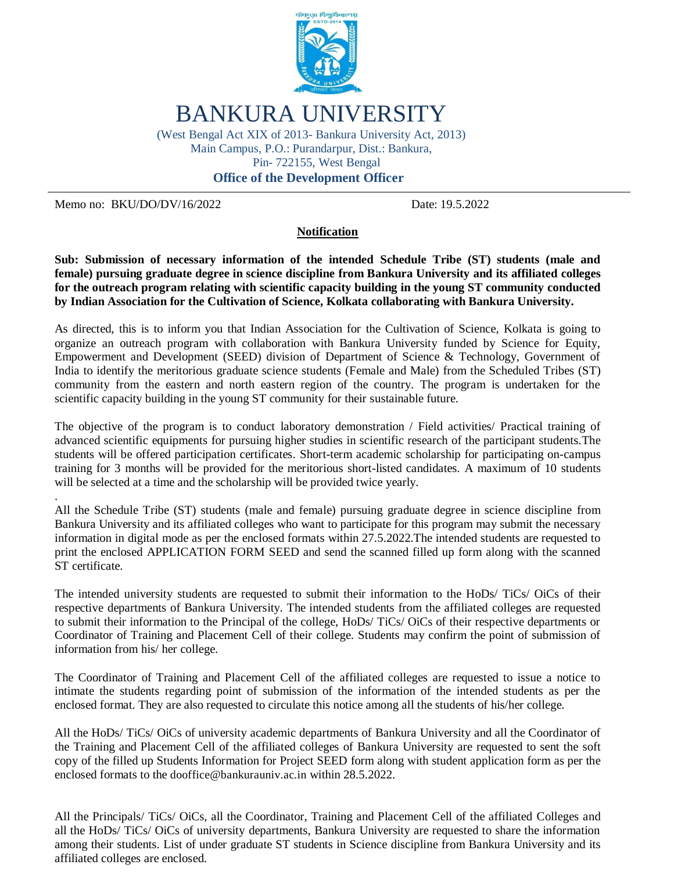

# BANKURA UNIVERSITY

(West Bengal Act XIX of 2013- Bankura University Act, 2013) Main Campus, P.O.: Purandarpur, Dist.: Bankura, Pin- 722155, West Bengal

**Office of the Development Officer**

Memo no: BKU/DO/DV/16/2022 Date: 19.5.2022

.

#### **Notification**

**Sub: Submission of necessary information of the intended Schedule Tribe (ST) students (male and female) pursuing graduate degree in science discipline from Bankura University and its affiliated colleges for the outreach program relating with scientific capacity building in the young ST community conducted by Indian Association for the Cultivation of Science, Kolkata collaborating with Bankura University.**

As directed, this is to inform you that Indian Association for the Cultivation of Science, Kolkata is going to organize an outreach program with collaboration with Bankura University funded by Science for Equity, Empowerment and Development (SEED) division of Department of Science & Technology, Government of India to identify the meritorious graduate science students (Female and Male) from the Scheduled Tribes (ST) community from the eastern and north eastern region of the country. The program is undertaken for the scientific capacity building in the young ST community for their sustainable future.

The objective of the program is to conduct laboratory demonstration / Field activities/ Practical training of advanced scientific equipments for pursuing higher studies in scientific research of the participant students.The students will be offered participation certificates. Short-term academic scholarship for participating on-campus training for 3 months will be provided for the meritorious short-listed candidates. A maximum of 10 students will be selected at a time and the scholarship will be provided twice yearly.

All the Schedule Tribe (ST) students (male and female) pursuing graduate degree in science discipline from Bankura University and its affiliated colleges who want to participate for this program may submit the necessary information in digital mode as per the enclosed formats within 27.5.2022.The intended students are requested to print the enclosed APPLICATION FORM SEED and send the scanned filled up form along with the scanned ST certificate.

The intended university students are requested to submit their information to the HoDs/ TiCs/ OiCs of their respective departments of Bankura University. The intended students from the affiliated colleges are requested to submit their information to the Principal of the college, HoDs/ TiCs/ OiCs of their respective departments or Coordinator of Training and Placement Cell of their college. Students may confirm the point of submission of information from his/ her college.

The Coordinator of Training and Placement Cell of the affiliated colleges are requested to issue a notice to intimate the students regarding point of submission of the information of the intended students as per the enclosed format. They are also requested to circulate this notice among all the students of his/her college.

All the HoDs/ TiCs/ OiCs of university academic departments of Bankura University and all the Coordinator of the Training and Placement Cell of the affiliated colleges of Bankura University are requested to sent the soft copy of the filled up Students Information for Project SEED form along with student application form as per the enclosed formats to the dooffice@bankurauniv.ac.in within 28.5.2022.

All the Principals/ TiCs/ OiCs, all the Coordinator, Training and Placement Cell of the affiliated Colleges and all the HoDs/ TiCs/ OiCs of university departments, Bankura University are requested to share the information among their students. List of under graduate ST students in Science discipline from Bankura University and its affiliated colleges are enclosed.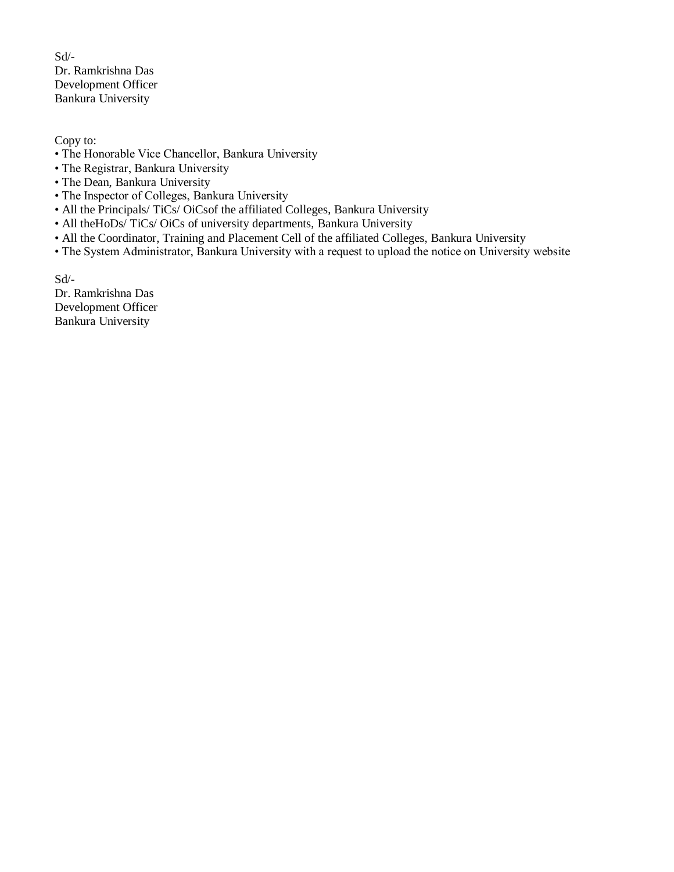Sd/- Dr. Ramkrishna Das Development Officer Bankura University

Copy to:

- The Honorable Vice Chancellor, Bankura University
- The Registrar, Bankura University
- The Dean, Bankura University
- The Inspector of Colleges, Bankura University
- All the Principals/ TiCs/ OiCsof the affiliated Colleges, Bankura University
- All theHoDs/TiCs/OiCs of university departments, Bankura University
- All the Coordinator, Training and Placement Cell of the affiliated Colleges, Bankura University
- The System Administrator, Bankura University with a request to upload the notice on University website

Sd/- Dr. Ramkrishna Das Development Officer Bankura University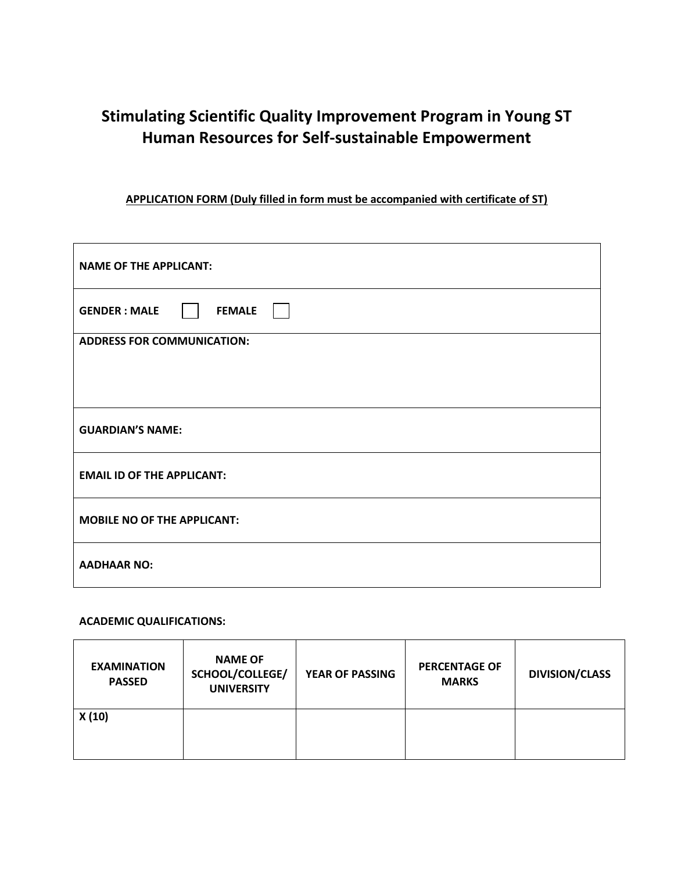## **Stimulating Scientific Quality Improvement Program in Young ST Human Resources for Self-sustainable Empowerment**

#### **APPLICATION FORM (Duly filled in form must be accompanied with certificate of ST)**

| <b>NAME OF THE APPLICANT:</b>         |
|---------------------------------------|
| <b>GENDER : MALE</b><br><b>FEMALE</b> |
| <b>ADDRESS FOR COMMUNICATION:</b>     |
|                                       |
|                                       |
| <b>GUARDIAN'S NAME:</b>               |
| <b>EMAIL ID OF THE APPLICANT:</b>     |
| <b>MOBILE NO OF THE APPLICANT:</b>    |
| <b>AADHAAR NO:</b>                    |

#### **ACADEMIC QUALIFICATIONS:**

| <b>EXAMINATION</b><br><b>PASSED</b> | <b>NAME OF</b><br>SCHOOL/COLLEGE/<br><b>UNIVERSITY</b> | <b>YEAR OF PASSING</b> | <b>PERCENTAGE OF</b><br><b>MARKS</b> | <b>DIVISION/CLASS</b> |
|-------------------------------------|--------------------------------------------------------|------------------------|--------------------------------------|-----------------------|
| X(10)                               |                                                        |                        |                                      |                       |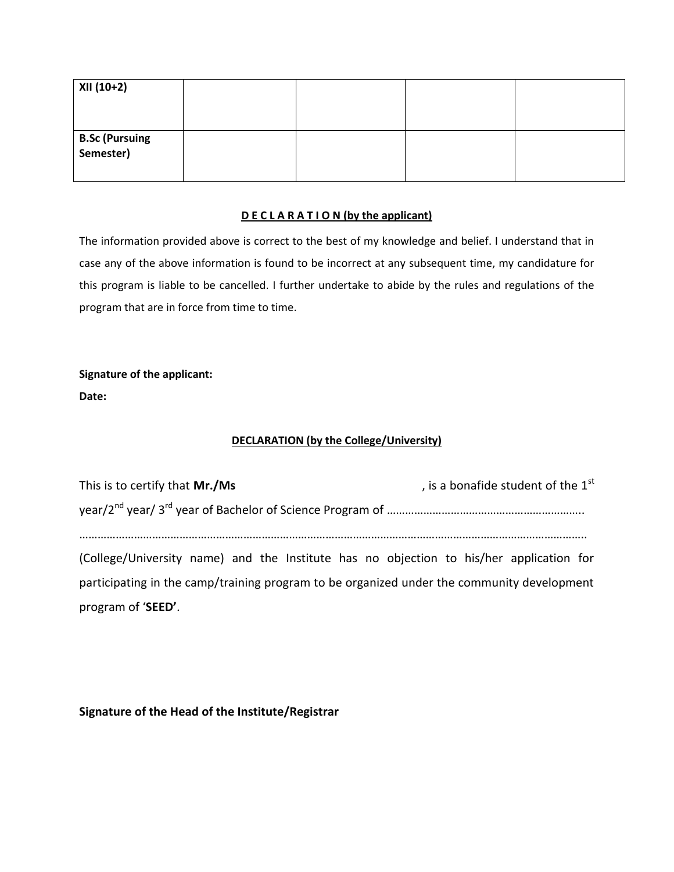| XII (10+2)                          |  |  |
|-------------------------------------|--|--|
|                                     |  |  |
| <b>B.Sc (Pursuing<br/>Semester)</b> |  |  |
|                                     |  |  |

#### **D E C L A R A T I O N (by the applicant)**

The information provided above is correct to the best of my knowledge and belief. I understand that in case any of the above information is found to be incorrect at any subsequent time, my candidature for this program is liable to be cancelled. I further undertake to abide by the rules and regulations of the program that are in force from time to time.

### **Signature of the applicant: Date:**

#### **DECLARATION (by the College/University)**

| This is to certify that Mr./Ms                                                             | , is a bonafide student of the $1st$ |
|--------------------------------------------------------------------------------------------|--------------------------------------|
|                                                                                            |                                      |
|                                                                                            |                                      |
| (College/University name) and the Institute has no objection to his/her application for    |                                      |
| participating in the camp/training program to be organized under the community development |                                      |
| program of 'SEED'.                                                                         |                                      |

**Signature of the Head of the Institute/Registrar**